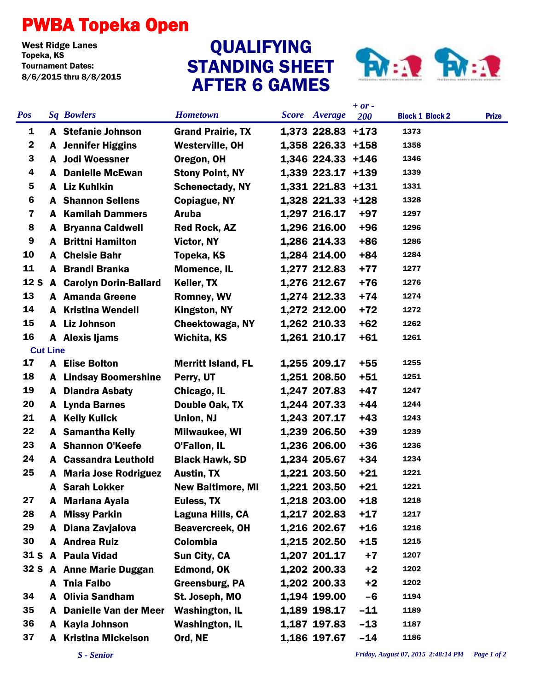## PWBA Topeka Open

West Ridge Lanes<br>Topeka, KS Tournament Dates: 8/6/2015 thru 8/8/2015

## STANDING SHEET AFTER 6 GAMES QUALIFYING



|                 |                 |                                |                           |                      | $+ or -$ |                        |              |
|-----------------|-----------------|--------------------------------|---------------------------|----------------------|----------|------------------------|--------------|
| <b>Pos</b>      |                 | <b>Sq Bowlers</b>              | <b>Hometown</b>           | <b>Score</b> Average | 200      | <b>Block 1 Block 2</b> | <b>Prize</b> |
| 1               |                 | A Stefanie Johnson             | <b>Grand Prairie, TX</b>  | 1,373 228.83 +173    |          | 1373                   |              |
| $\mathbf{2}$    |                 | <b>A</b> Jennifer Higgins      | <b>Westerville, OH</b>    | 1,358 226.33 +158    |          | 1358                   |              |
| 3               |                 | A Jodi Woessner                | Oregon, OH                | 1,346 224.33 +146    |          | 1346                   |              |
| 4               | A               | <b>Danielle McEwan</b>         | <b>Stony Point, NY</b>    | 1,339 223.17 +139    |          | 1339                   |              |
| 5               |                 | A Liz Kuhlkin                  | <b>Schenectady, NY</b>    | 1,331 221.83 +131    |          | 1331                   |              |
| 6               |                 | <b>A</b> Shannon Sellens       | Copiague, NY              | 1,328 221.33 +128    |          | 1328                   |              |
| 7               |                 | <b>A</b> Kamilah Dammers       | <b>Aruba</b>              | 1,297 216.17         | $+97$    | 1297                   |              |
| 8               | A               | <b>Bryanna Caldwell</b>        | <b>Red Rock, AZ</b>       | 1,296 216.00         | $+96$    | 1296                   |              |
| 9               |                 | <b>A</b> Brittni Hamilton      | <b>Victor, NY</b>         | 1,286 214.33         | $+86$    | 1286                   |              |
| 10              |                 | <b>A</b> Chelsie Bahr          | Topeka, KS                | 1,284 214.00         | $+84$    | 1284                   |              |
| 11              |                 | A Brandi Branka                | <b>Momence, IL</b>        | 1,277 212.83         | $+77$    | 1277                   |              |
| 12 <sub>S</sub> |                 | <b>A</b> Carolyn Dorin-Ballard | Keller, TX                | 1,276 212.67         | $+76$    | 1276                   |              |
| 13              |                 | <b>A</b> Amanda Greene         | <b>Romney, WV</b>         | 1,274 212.33         | $+74$    | 1274                   |              |
| 14              |                 | <b>A</b> Kristina Wendell      | Kingston, NY              | 1,272 212.00         | $+72$    | 1272                   |              |
| 15              |                 | A Liz Johnson                  | <b>Cheektowaga, NY</b>    | 1,262 210.33         | $+62$    | 1262                   |              |
| 16              |                 | A Alexis Ijams                 | Wichita, KS               | 1,261 210.17         | $+61$    | 1261                   |              |
|                 | <b>Cut Line</b> |                                |                           |                      |          |                        |              |
| 17              |                 | <b>A</b> Elise Bolton          | <b>Merritt Island, FL</b> | 1,255 209.17         | $+55$    | 1255                   |              |
| 18              |                 | <b>A</b> Lindsay Boomershine   | Perry, UT                 | 1,251 208.50         | $+51$    | 1251                   |              |
| 19              |                 | <b>A</b> Diandra Asbaty        | Chicago, IL               | 1,247 207.83         | $+47$    | 1247                   |              |
| 20              |                 | A Lynda Barnes                 | Double Oak, TX            | 1,244 207.33         | $+44$    | 1244                   |              |
| 21              |                 | A Kelly Kulick                 | Union, NJ                 | 1,243 207.17         | $+43$    | 1243                   |              |
| 22              |                 | <b>A</b> Samantha Kelly        | <b>Milwaukee, WI</b>      | 1,239 206.50         | $+39$    | 1239                   |              |
| 23              |                 | <b>A</b> Shannon O'Keefe       | O'Fallon, IL              | 1,236 206.00         | $+36$    | 1236                   |              |
| 24              |                 | <b>A</b> Cassandra Leuthold    | <b>Black Hawk, SD</b>     | 1,234 205.67         | $+34$    | 1234                   |              |
| 25              | A               | <b>Maria Jose Rodriguez</b>    | <b>Austin, TX</b>         | 1,221 203.50         | $+21$    | 1221                   |              |
|                 | A               | <b>Sarah Lokker</b>            | <b>New Baltimore, MI</b>  | 1,221 203.50         | $+21$    | 1221                   |              |
| 27              |                 | A Mariana Ayala                | Euless, TX                | 1,218 203.00         | $+18$    | 1218                   |              |
| 28              | A               | <b>Missy Parkin</b>            | Laguna Hills, CA          | 1,217 202.83         | $+17$    | 1217                   |              |
| 29              | A               | Diana Zavjalova                | <b>Beavercreek, OH</b>    | 1,216 202.67         | $+16$    | 1216                   |              |
| 30              |                 | A Andrea Ruiz                  | Colombia                  | 1,215 202.50         | $+15$    | 1215                   |              |
| 31 <sub>S</sub> |                 | A Paula Vidad                  | Sun City, CA              | 1,207 201.17         | $+7$     | 1207                   |              |
|                 |                 | 32 S A Anne Marie Duggan       | <b>Edmond, OK</b>         | 1,202 200.33         | $+2$     | 1202                   |              |
|                 |                 | A Tnia Falbo                   | <b>Greensburg, PA</b>     | 1,202 200.33         | $+2$     | 1202                   |              |
| 34              | A               | <b>Olivia Sandham</b>          | St. Joseph, MO            | 1,194 199.00         | $-6$     | 1194                   |              |
| 35              | A               | <b>Danielle Van der Meer</b>   | <b>Washington, IL</b>     | 1,189 198.17         | $-11$    | 1189                   |              |
| 36              | A               | <b>Kayla Johnson</b>           | <b>Washington, IL</b>     | 1,187 197.83         | $-13$    | 1187                   |              |
| 37              | A               | <b>Kristina Mickelson</b>      | Ord, NE                   | 1,186 197.67         | $-14$    | 1186                   |              |